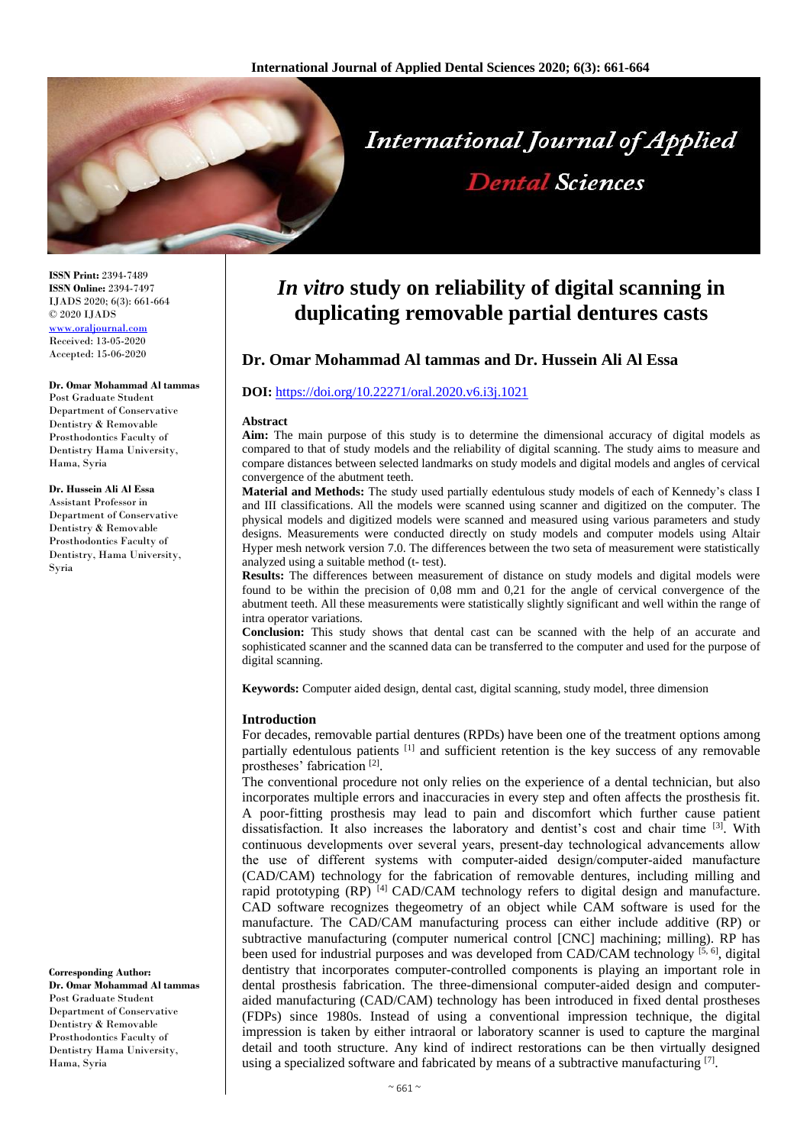

**ISSN Print:** 2394-7489 **ISSN Online:** 2394-7497 IJADS 2020; 6(3): 661-664 © 2020 IJADS <www.oraljournal.com> Received: 13-05-2020 Accepted: 15-06-2020

#### **Dr. Omar Mohammad Al tammas**

Post Graduate Student Department of Conservative Dentistry & Removable Prosthodontics Faculty of Dentistry Hama University, Hama, Syria

#### **Dr. Hussein Ali Al Essa**

Assistant Professor in Department of Conservative Dentistry & Removable Prosthodontics Faculty of Dentistry, Hama University, Syria

**Dr. Omar Mohammad Al tammas** Post Graduate Student Department of Conservative Dentistry & Removable Prosthodontics Faculty of

Dentistry Hama University, Hama, Syria

**Corresponding Author:**

# *In vitro* **study on reliability of digital scanning in duplicating removable partial dentures casts**

# **Dr. Omar Mohammad Al tammas and Dr. Hussein Ali Al Essa**

# **DOI:** <https://doi.org/10.22271/oral.2020.v6.i3j.1021>

#### **Abstract**

**Aim:** The main purpose of this study is to determine the dimensional accuracy of digital models as compared to that of study models and the reliability of digital scanning. The study aims to measure and compare distances between selected landmarks on study models and digital models and angles of cervical convergence of the abutment teeth.

**Material and Methods:** The study used partially edentulous study models of each of Kennedy's class I and III classifications. All the models were scanned using scanner and digitized on the computer. The physical models and digitized models were scanned and measured using various parameters and study designs. Measurements were conducted directly on study models and computer models using Altair Hyper mesh network version 7.0. The differences between the two seta of measurement were statistically analyzed using a suitable method (t- test).

**Results:** The differences between measurement of distance on study models and digital models were found to be within the precision of 0,08 mm and 0,21 for the angle of cervical convergence of the abutment teeth. All these measurements were statistically slightly significant and well within the range of intra operator variations.

**Conclusion:** This study shows that dental cast can be scanned with the help of an accurate and sophisticated scanner and the scanned data can be transferred to the computer and used for the purpose of digital scanning.

**Keywords:** Computer aided design, dental cast, digital scanning, study model, three dimension

# **Introduction**

For decades, removable partial dentures (RPDs) have been one of the treatment options among partially edentulous patients [1] and sufficient retention is the key success of any removable prostheses' fabrication<sup>[2]</sup>.

The conventional procedure not only relies on the experience of a dental technician, but also incorporates multiple errors and inaccuracies in every step and often affects the prosthesis fit. A poor-fitting prosthesis may lead to pain and discomfort which further cause patient dissatisfaction. It also increases the laboratory and dentist's cost and chair time [3]. With continuous developments over several years, present-day technological advancements allow the use of different systems with computer-aided design/computer-aided manufacture (CAD/CAM) technology for the fabrication of removable dentures, including milling and rapid prototyping (RP)<sup>[4]</sup> CAD/CAM technology refers to digital design and manufacture. CAD software recognizes thegeometry of an object while CAM software is used for the manufacture. The CAD/CAM manufacturing process can either include additive (RP) or subtractive manufacturing (computer numerical control [CNC] machining; milling). RP has been used for industrial purposes and was developed from CAD/CAM technology  $^{[5, 6]}$ , digital dentistry that incorporates computer-controlled components is playing an important role in dental prosthesis fabrication. The three-dimensional computer-aided design and computeraided manufacturing (CAD/CAM) technology has been introduced in fixed dental prostheses (FDPs) since 1980s. Instead of using a conventional impression technique, the digital impression is taken by either intraoral or laboratory scanner is used to capture the marginal detail and tooth structure. Any kind of indirect restorations can be then virtually designed using a specialized software and fabricated by means of a subtractive manufacturing  $[7]$ .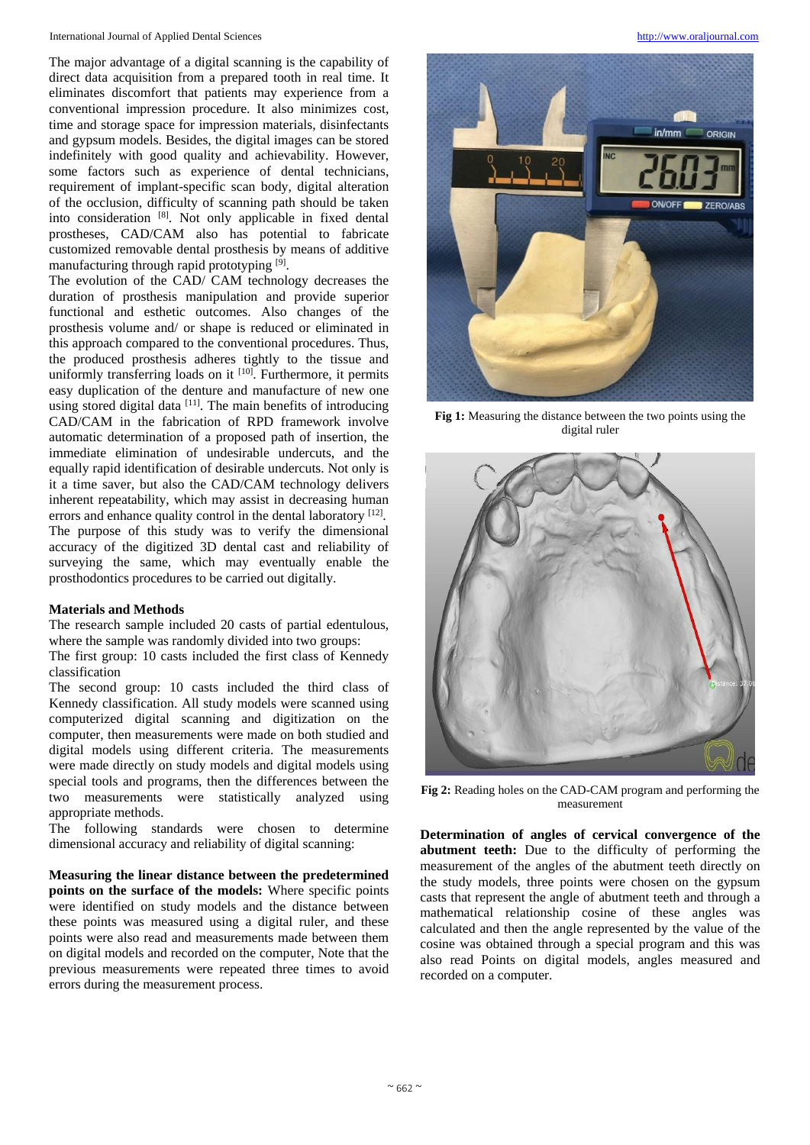The major advantage of a digital scanning is the capability of direct data acquisition from a prepared tooth in real time. It eliminates discomfort that patients may experience from a conventional impression procedure. It also minimizes cost, time and storage space for impression materials, disinfectants and gypsum models. Besides, the digital images can be stored indefinitely with good quality and achievability. However, some factors such as experience of dental technicians, requirement of implant-specific scan body, digital alteration of the occlusion, difficulty of scanning path should be taken into consideration [8]. Not only applicable in fixed dental prostheses, CAD/CAM also has potential to fabricate customized removable dental prosthesis by means of additive manufacturing through rapid prototyping [9].

The evolution of the CAD/ CAM technology decreases the duration of prosthesis manipulation and provide superior functional and esthetic outcomes. Also changes of the prosthesis volume and/ or shape is reduced or eliminated in this approach compared to the conventional procedures. Thus, the produced prosthesis adheres tightly to the tissue and uniformly transferring loads on it [10]. Furthermore, it permits easy duplication of the denture and manufacture of new one using stored digital data [11]. The main benefits of introducing CAD/CAM in the fabrication of RPD framework involve automatic determination of a proposed path of insertion, the immediate elimination of undesirable undercuts, and the equally rapid identification of desirable undercuts. Not only is it a time saver, but also the CAD/CAM technology delivers inherent repeatability, which may assist in decreasing human errors and enhance quality control in the dental laboratory [12]. The purpose of this study was to verify the dimensional accuracy of the digitized 3D dental cast and reliability of surveying the same, which may eventually enable the prosthodontics procedures to be carried out digitally.

# **Materials and Methods**

The research sample included 20 casts of partial edentulous, where the sample was randomly divided into two groups:

The first group: 10 casts included the first class of Kennedy classification

The second group: 10 casts included the third class of Kennedy classification. All study models were scanned using computerized digital scanning and digitization on the computer, then measurements were made on both studied and digital models using different criteria. The measurements were made directly on study models and digital models using special tools and programs, then the differences between the two measurements were statistically analyzed using appropriate methods.

The following standards were chosen to determine dimensional accuracy and reliability of digital scanning:

**Measuring the linear distance between the predetermined points on the surface of the models:** Where specific points were identified on study models and the distance between these points was measured using a digital ruler, and these points were also read and measurements made between them on digital models and recorded on the computer, Note that the previous measurements were repeated three times to avoid errors during the measurement process.



**Fig 1:** Measuring the distance between the two points using the digital ruler



**Fig 2:** Reading holes on the CAD-CAM program and performing the measurement

**Determination of angles of cervical convergence of the abutment teeth:** Due to the difficulty of performing the measurement of the angles of the abutment teeth directly on the study models, three points were chosen on the gypsum casts that represent the angle of abutment teeth and through a mathematical relationship cosine of these angles was calculated and then the angle represented by the value of the cosine was obtained through a special program and this was also read Points on digital models, angles measured and recorded on a computer.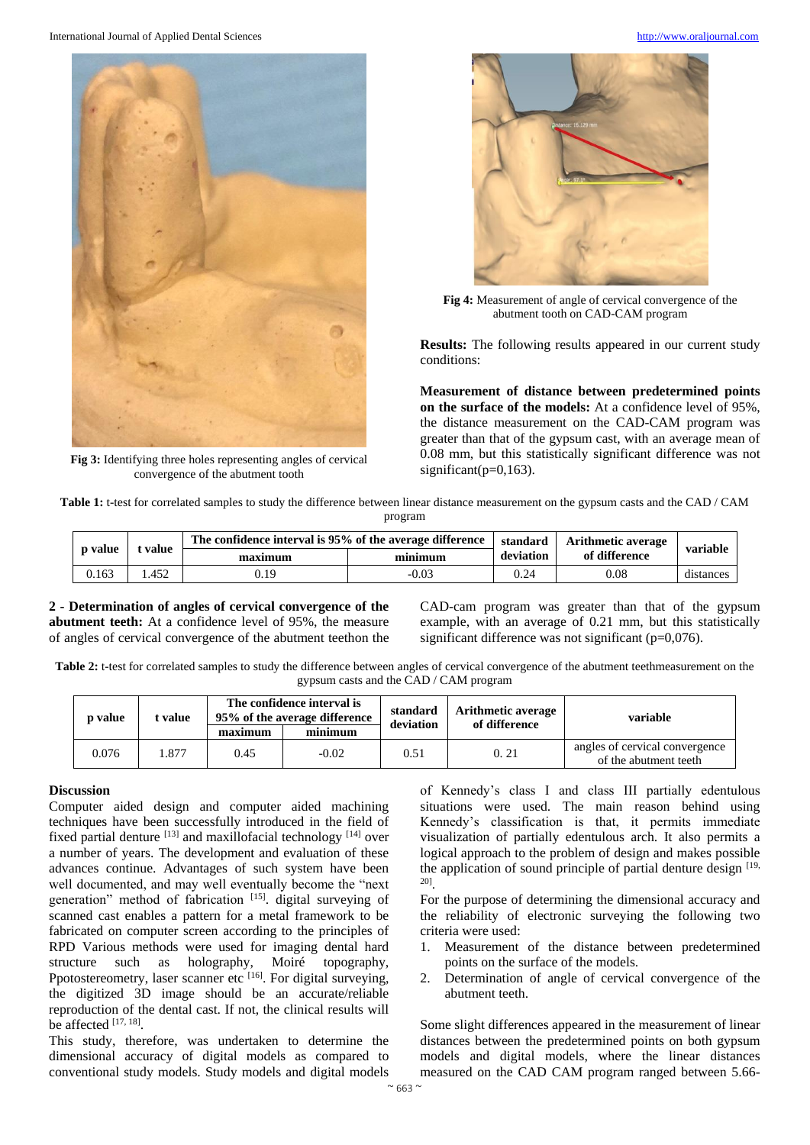International Journal of Applied Dental Sciences [http://www.oraljournal.com](http://www.oraljournal.com/)



**Fig 3:** Identifying three holes representing angles of cervical convergence of the abutment tooth



**Fig 4:** Measurement of angle of cervical convergence of the abutment tooth on CAD-CAM program

**Results:** The following results appeared in our current study conditions:

**Measurement of distance between predetermined points on the surface of the models:** At a confidence level of 95%, the distance measurement on the CAD-CAM program was greater than that of the gypsum cast, with an average mean of 0.08 mm, but this statistically significant difference was not significant( $p=0.163$ ).

**Table 1:** t-test for correlated samples to study the difference between linear distance measurement on the gypsum casts and the CAD / CAM program

| <b>p</b> value | value | The confidence interval is 95% of the average difference | standard | <b>Arithmetic average</b> | variable      |           |
|----------------|-------|----------------------------------------------------------|----------|---------------------------|---------------|-----------|
|                |       | maximum                                                  | minimum  | deviation                 | of difference |           |
| 0.163          | .452  | J.19                                                     | -0.03    | 0.24                      | $0.08\,$      | distances |

**2 - Determination of angles of cervical convergence of the abutment teeth:** At a confidence level of 95%, the measure of angles of cervical convergence of the abutment teethon the CAD-cam program was greater than that of the gypsum example, with an average of 0.21 mm, but this statistically significant difference was not significant  $(p=0.076)$ .

Table 2: t-test for correlated samples to study the difference between angles of cervical convergence of the abutment teethmeasurement on the gypsum casts and the CAD / CAM program

| <b>p</b> value | t value | The confidence interval is<br>95% of the average difference |         | standard<br>deviation | <b>Arithmetic average</b><br>of difference | variable                                                |  |
|----------------|---------|-------------------------------------------------------------|---------|-----------------------|--------------------------------------------|---------------------------------------------------------|--|
|                |         | maximum                                                     | minimum |                       |                                            |                                                         |  |
| 0.076          | .877    | 0.45                                                        | $-0.02$ | 0.51                  | 0.21                                       | angles of cervical convergence<br>of the abutment teeth |  |

# **Discussion**

Computer aided design and computer aided machining techniques have been successfully introduced in the field of fixed partial denture  $[13]$  and maxillofacial technology  $[14]$  over a number of years. The development and evaluation of these advances continue. Advantages of such system have been well documented, and may well eventually become the "next generation" method of fabrication [15]. digital surveying of scanned cast enables a pattern for a metal framework to be fabricated on computer screen according to the principles of RPD Various methods were used for imaging dental hard structure such as holography, Moiré topography, Ppotostereometry, laser scanner etc  $^{[16]}$ . For digital surveying, the digitized 3D image should be an accurate/reliable reproduction of the dental cast. If not, the clinical results will be affected  $[17, 18]$ .

This study, therefore, was undertaken to determine the dimensional accuracy of digital models as compared to conventional study models. Study models and digital models

of Kennedy's class I and class III partially edentulous situations were used. The main reason behind using Kennedy's classification is that, it permits immediate visualization of partially edentulous arch. It also permits a logical approach to the problem of design and makes possible the application of sound principle of partial denture design [19, 20] .

For the purpose of determining the dimensional accuracy and the reliability of electronic surveying the following two criteria were used:

- 1. Measurement of the distance between predetermined points on the surface of the models.
- 2. Determination of angle of cervical convergence of the abutment teeth.

Some slight differences appeared in the measurement of linear distances between the predetermined points on both gypsum models and digital models, where the linear distances measured on the CAD CAM program ranged between 5.66-

 $~^{\sim}$  663  $~^{\sim}$